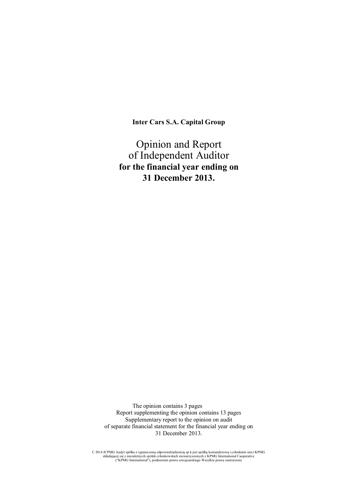**Inter Cars S.A. Capital Group** 

Opinion and Report of Independent Auditor **for the financial year ending on 31 December 2013.** 

The opinion contains 3 pages Report supplementing the opinion contains 13 pages Supplementary report to the opinion on audit of separate financial statement for the financial year ending on 31 December 2013.

C 2014 JCPMG Audyt spółka z ograniczoną odpowiedzialnością sp k jest spółką komandytową i członkiem sreci KPMG<br>składającej się z niezależnych spółek członkowskich stowarzyszonych z KPMG International Caoperative<br>("KPMG Int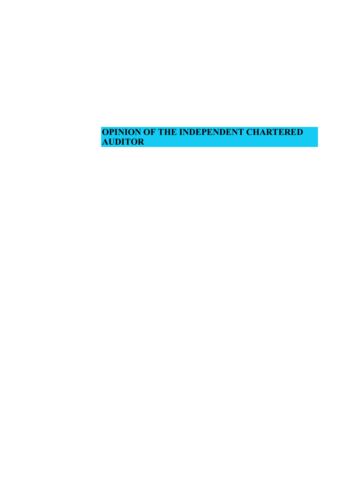**OPINION OF THE INDEPENDENT CHARTERED AUDITOR**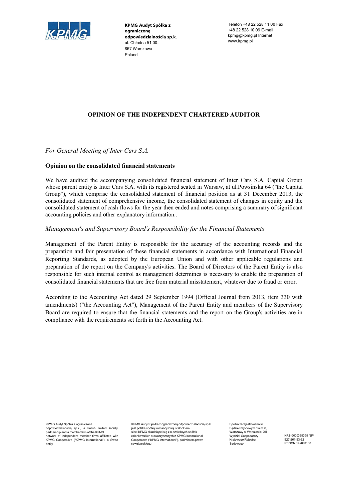

**KPMG Audyt Spóâka z ograniczonĆ**  $o$ **dpowiedzialnościa sp.k.** ul. Chłodna 51 00-867 Warszawa Poland

Telefon +48 22 528 11 00 Fax +48 22 528 10 09 E-mail kpmg@kpmg.pl Internet www.kpmg.pl

#### **OPINION OF THE INDEPENDENT CHARTERED AUDITOR**

*For General Meeting of Inter Cars S.A.* 

#### **Opinion on the consolidated financial statements**

We have audited the accompanying consolidated financial statement of Inter Cars S.A. Capital Group whose parent entity is Inter Cars S.A. with its registered seated in Warsaw, at ul.Powsinska 64 ("the Capital Group"), which comprise the consolidated statement of financial position as at 31 December 2013, the consolidated statement of comprehensive income, the consolidated statement of changes in equity and the consolidated statement of cash flows for the year then ended and notes comprising a summary of significant accounting policies and other explanatory information..

#### *Management's and Supervisory Board's Responsibility for the Financial Statements*

Management of the Parent Entity is responsible for the accuracy of the accounting records and the preparation and fair presentation of these financial statements in accordance with International Financial Reporting Standards, as adopted by the European Union and with other applicable regulations and preparation of the report on the Company's activities. The Board of Directors of the Parent Entity is also responsible for such internal control as management determines is necessary to enable the preparation of consolidated financial statements that are free from material misstatement, whatever due to fraud or error.

According to the Accounting Act dated 29 September 1994 (Official Journal from 2013, item 330 with amendments) ("the Accounting Act"), Management of the Parent Entity and members of the Supervisory Board are required to ensure that the financial statements and the report on the Group's activities are in compliance with the requirements set forth in the Accounting Act.

KPMG Audyt Spółka z ograniczoną odpowiedzialnoĞcią sp.k., a Polish limited liabiiity partnership and a member firm of the KPMG network of independent member firms affiliated with KPMG Cooperative ("KPMG International"), a Swiss entity

KPMG Audyt Spółka z ograniczoną odpowiedz alnością sp k. jest polską spółką komandytową i członkiem sieci KPMG składaiącei się z n ezależnych spółek<br>członkowskich stowarzyszonych z KPMG International Cooperatwe ("KPMG International"), podmiotem prawa szwajcarskiego.

Spółka zarejestrowana w Sadzie Rejonowym dla m st Warszawy w Warszawie, XII Wydział Gospodarczy Krajowego Rejestru 6ądowego

KRS 0000339379 NIP 527-261-53-62 REGON 142078130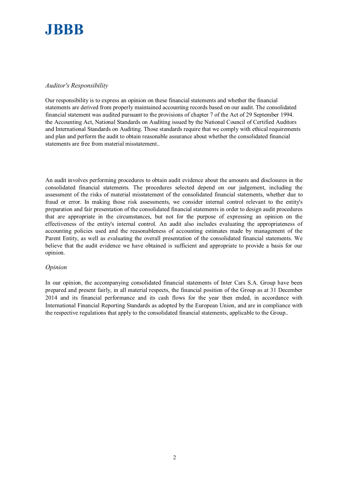

#### *Auditor's Responsibility*

Our responsibility is to express an opinion on these financial statements and whether the financial statements are derived from properly maintained accounting records based on our audit. The consolidated financial statement was audited pursuant to the provisions of chapter 7 of the Act of 29 September 1994. the Accounting Act, National Standards on Auditing issued by the National Council of Certified Auditors and International Standards on Auditing. Those standards require that we comply with ethical requirements and plan and perform the audit to obtain reasonable assurance about whether the consolidated financial statements are free from material misstatement..

An audit involves performing procedures to obtain audit evidence about the amounts and disclosures in the consolidated financial statements. The procedures selected depend on our judgement, including the assessment of the risks of material misstatement of the consolidated financial statements, whether due to fraud or error. In making those risk assessments, we consider internal control relevant to the entity's preparation and fair presentation of the consolidated financial statements in order to design audit procedures that are appropriate in the circumstances, but not for the purpose of expressing an opinion on the effectiveness of the entity's internal control. An audit also includes evaluating the appropriateness of accounting policies used and the reasonableness of accounting estimates made by management of the Parent Entity, as well as evaluating the overall presentation of the consolidated financial statements. We believe that the audit evidence we have obtained is sufficient and appropriate to provide a basis for our opinion.

#### *Opinion*

In our opinion, the accompanying consolidated financial statements of Inter Cars S.A. Group have been prepared and present fairly, in all material respects, the financial position of the Group as at 31 December 2014 and its financial performance and its cash flows for the year then ended, in accordance with International Financial Reporting Standards as adopted by the European Union, and are in compliance with the respective regulations that apply to the consolidated financial statements, applicable to the Group..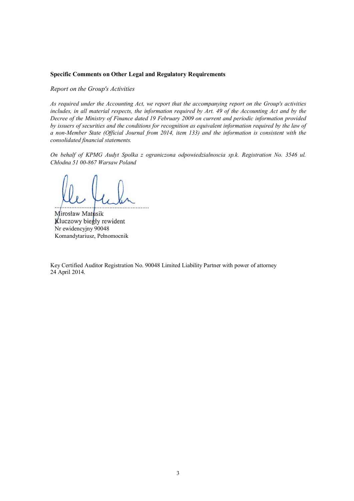#### **Specific Comments on Other Legal and Regulatory Requirements**

*Report on the Group's Activities* 

*As required under the Accounting Act, we report that the accompanying report on the Group's activities includes, in all material respects, the information required by Art. 49 of the Accounting Act and by the Decree of the Ministry of Finance dated 19 February 2009 on current and periodic information provided by issuers of securities and the conditions for recognition as equivalent information required by the law of a non-Member State (Official Journal from 2014, item 133) and the information is consistent with the consolidated financial statements.* 

*On behalf of KPMG Audyt Spolka z ograniczona odpowiedzialnoscia sp.k. Registration No. 3546 ul. Cháodna 51 00-867 Warsaw Poland* 

Mirosław Matusik Kluczowy biegły rewident Nr ewidencyjny 90048 Komandytariusz, Pełnomocnik

Key Certified Auditor Registration No. 90048 Limited Liability Partner with power of attorney 24 April 2014.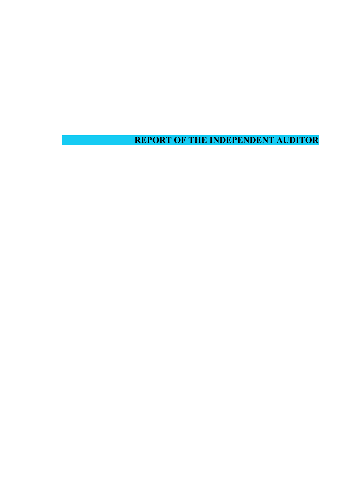**REPORT OF THE INDEPENDENT AUDITOR**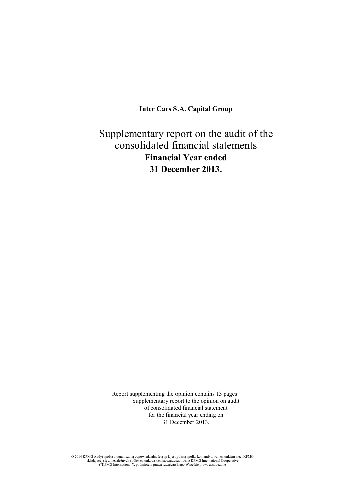**Inter Cars S.A. Capital Group** 

# Supplementary report on the audit of the consolidated financial statements **Financial Year ended 31 December 2013.**

Report supplementing the opinion contains 13 pages Supplementary report to the opinion on audit of consolidated financial statement for the financial year ending on 31 December 2013.

O 2014 KPMG Audyt spółka z ograniczoną odpowiedzialnością sp. k jest polską spółką komandytową i członkiem sieci KPMG<br>składającej się z niezależnych spółek członkowskich stowarzyszonych z KPMG International Cooperative<br>("K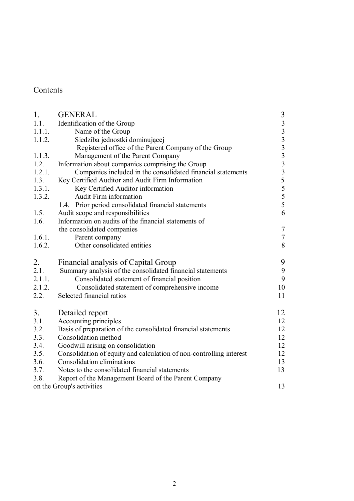# Contents

| 1.     | <b>GENERAL</b>                                                      |                  |
|--------|---------------------------------------------------------------------|------------------|
| 1.1.   | Identification of the Group                                         | 33333335         |
| 1.1.1. | Name of the Group                                                   |                  |
| 1.1.2. | Siedziba jednostki dominującej                                      |                  |
|        | Registered office of the Parent Company of the Group                |                  |
| 1.1.3. | Management of the Parent Company                                    |                  |
| 1.2.   | Information about companies comprising the Group                    |                  |
| 1.2.1. | Companies included in the consolidated financial statements         |                  |
| 1.3.   | Key Certified Auditor and Audit Firm Information                    |                  |
| 1.3.1. | Key Certified Auditor information                                   | 5                |
| 1.3.2. | <b>Audit Firm information</b>                                       |                  |
|        | 1.4. Prior period consolidated financial statements                 | $rac{5}{5}$      |
| 1.5.   | Audit scope and responsibilities                                    | 6                |
| 1.6.   | Information on audits of the financial statements of                |                  |
|        | the consolidated companies                                          | $\boldsymbol{7}$ |
| 1.6.1. | Parent company                                                      | $\tau$           |
| 1.6.2. | Other consolidated entities                                         | 8                |
| 2.     | Financial analysis of Capital Group                                 | 9                |
| 2.1.   | Summary analysis of the consolidated financial statements           | 9                |
| 2.1.1. | Consolidated statement of financial position                        | 9                |
| 2.1.2. | Consolidated statement of comprehensive income                      | 10               |
| 2.2.   | Selected financial ratios                                           | 11               |
|        |                                                                     |                  |
| 3.     | Detailed report                                                     | 12               |
| 3.1.   | Accounting principles                                               | 12               |
| 3.2.   | Basis of preparation of the consolidated financial statements       | 12               |
| 3.3.   | Consolidation method                                                | 12               |
| 3.4.   | Goodwill arising on consolidation                                   | 12               |
| 3.5.   | Consolidation of equity and calculation of non-controlling interest | 12               |
| 3.6.   | Consolidation eliminations                                          | 13               |
| 3.7.   | Notes to the consolidated financial statements                      | 13               |
| 3.8.   | Report of the Management Board of the Parent Company                |                  |
|        | on the Group's activities                                           | 13               |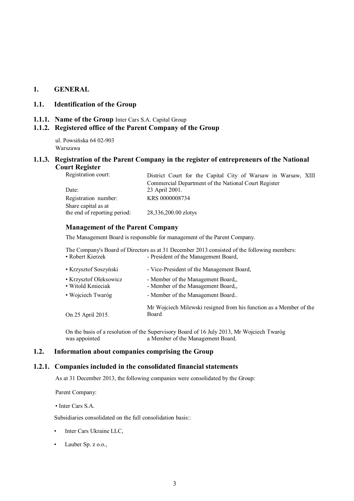## **1. GENERAL**

# **1.1. Identification of the Group**

**1.1.1. Name of the Group** Inter Cars S.A. Capital Group

# **1.1.2. Registered office of the Parent Company of the Group**

ul. Powsińska 64 02-903 Warszawa

#### **1.1.3. Registration of the Parent Company in the register of entrepreneurs of the National Court Register**

| Registration court:          | District Court for the Capital City of Warsaw in Warsaw, XIII |
|------------------------------|---------------------------------------------------------------|
|                              | Commercial Department of the National Court Register          |
| Date:                        | 23 April 2001.                                                |
| Registration number:         | KRS 0000008734                                                |
| Share capital as at          |                                                               |
| the end of reporting period: | 28,336,200.00 zlotys                                          |

# **Management of the Parent Company**

The Management Board is responsible for management of the Parent Company.

The Company's Board of Directors as at 31 December 2013 consisted of the following members:<br>• Robert Kierzek - President of the Management Board, - President of the Management Board,

| • Krzysztof Soszyński                       | - Vice-President of the Management Board,                                   |
|---------------------------------------------|-----------------------------------------------------------------------------|
| • Krzysztof Oleksowicz<br>• Witold Kmieciak | - Member of the Management Board,<br>- Member of the Management Board,      |
| • Wojciech Twaróg                           | - Member of the Management Board                                            |
| On 25 April 2015.                           | Mr Wojciech Milewski resigned from his function as a Member of the<br>Board |

On the basis of a resolution of the Supervisory Board of 16 July 2013, Mr Wojciech Twaróg a Member of the Management Board.

# **1.2. Information about companies comprising the Group**

#### **1.2.1. Companies included in the consolidated financial statements**

As at 31 December 2013, the following companies were consolidated by the Group:

Parent Company:

• Inter Cars S.A.

Subsidiaries consolidated on the full consolidation basis:

- Inter Cars Ukraine LLC,
- Lauber Sp. z o.o.,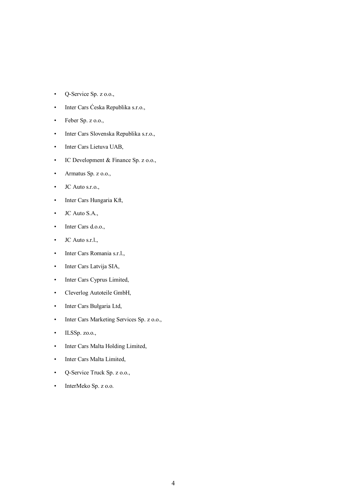- Q-Service Sp. z o.o.,
- Inter Cars Ćeska Republika s.r.o.,
- Feber Sp. z o.o.,
- Inter Cars Slovenska Republika s.r.o.,
- Inter Cars Lietuva UAB,
- IC Development & Finance Sp. z o.o.,
- Armatus Sp. z o.o.,
- JC Auto s.r.o.,
- Inter Cars Hungaria Kft,
- JC Auto S.A.,
- Inter Cars d.o.o.,
- **JC** Auto s.r.l.,
- Inter Cars Romania s.r.l.,
- Inter Cars Latvija SIA,
- Inter Cars Cyprus Limited,
- Cleverlog Autoteile GmbH,
- Inter Cars Bułgaria Ltd,
- Inter Cars Marketing Services Sp. z o.o.,
- ILSSp. zo.o.,
- Inter Cars Malta Holding Limited,
- Inter Cars Malta Limited,
- Q-Service Truck Sp. z o.o.,
- InterMeko Sp. z o.o.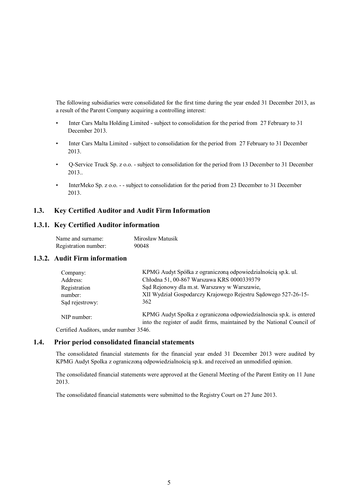The following subsidiaries were consolidated for the first time during the year ended 31 December 2013, as a result of the Parent Company acquiring a controlling interest:

- Inter Cars Malta Holding Limited subject to consolidation for the period from 27 February to 31 December 2013.
- Inter Cars Malta Limited subject to consolidation for the period from 27 February to 31 December 2013.
- Q-Service Truck Sp. z o.o. subject to consolidation for the period from 13 December to 31 December 2013..
- InterMeko Sp. z o.o. - subject to consolidation for the period from 23 December to 31 December 2013.

#### **1.3. Key Certified Auditor and Audit Firm Information**

## **1.3.1. Key Certified Auditor information**

| Name and surname:    | Mirosław Matusik |
|----------------------|------------------|
| Registration number: | 90048            |

#### **1.3.2. Audit Firm information**

| Company:        | KPMG Audyt Spółka z ograniczoną odpowiedzialnościa sp.k. ul.                                                                                   |
|-----------------|------------------------------------------------------------------------------------------------------------------------------------------------|
| Address:        | Chłodna 51, 00-867 Warszawa KRS 0000339379                                                                                                     |
| Registration    | Sąd Rejonowy dla m.st. Warszawy w Warszawie,                                                                                                   |
| number:         | XII Wydział Gospodarczy Krajowego Rejestru Sądowego 527-26-15-                                                                                 |
| Sad rejestrowy: | 362                                                                                                                                            |
| NIP number:     | KPMG Audyt Spolka z ograniczona odpowiedzialnoscia sp.k. is entered<br>into the register of audit firms, maintained by the National Council of |

Certified Auditors, under number 3546.

#### **1.4. Prior period consolidated financial statements**

The consolidated financial statements for the financial year ended 31 December 2013 were audited by KPMG Audyt Spolka z ograniczoną odpowiedzialnością sp.k. and received an unmodified opinion.

The consolidated financial statements were approved at the General Meeting of the Parent Entity on 11 June 2013.

The consolidated financial statements were submitted to the Registry Court on 27 June 2013.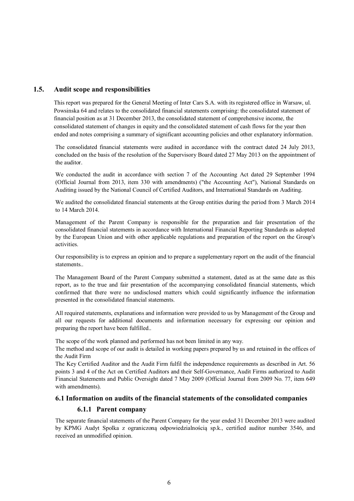## **1.5. Audit scope and responsibilities**

This report was prepared for the General Meeting of Inter Cars S.A. with its registered office in Warsaw, ul. Powsinska 64 and relates to the consolidated financial statements comprising: the consolidated statement of financial position as at 31 December 2013, the consolidated statement of comprehensive income, the consolidated statement of changes in equity and the consolidated statement of cash flows for the year then ended and notes comprising a summary of significant accounting policies and other explanatory information.

The consolidated financial statements were audited in accordance with the contract dated 24 July 2013, concluded on the basis of the resolution of the Supervisory Board dated 27 May 2013 on the appointment of the auditor.

We conducted the audit in accordance with section 7 of the Accounting Act dated 29 September 1994 (Official Journal from 2013, item 330 with amendments) ("the Accounting Act"), National Standards on Auditing issued by the National Council of Certified Auditors, and International Standards on Auditing.

We audited the consolidated financial statements at the Group entities during the period from 3 March 2014 to 14 March 2014.

Management of the Parent Company is responsible for the preparation and fair presentation of the consolidated financial statements in accordance with International Financial Reporting Standards as adopted by the European Union and with other applicable regulations and preparation of the report on the Group's activities.

Our responsibility is to express an opinion and to prepare a supplementary report on the audit of the financial statements..

The Management Board of the Parent Company submitted a statement, dated as at the same date as this report, as to the true and fair presentation of the accompanying consolidated financial statements, which confirmed that there were no undisclosed matters which could significantly influence the information presented in the consolidated financial statements.

All required statements, explanations and information were provided to us by Management of the Group and all our requests for additional documents and information necessary for expressing our opinion and preparing the report have been fulfilled..

The scope of the work planned and performed has not been limited in any way.

The method and scope of our audit is detailed in working papers prepared by us and retained in the offices of the Audit Firm

The Key Certified Auditor and the Audit Firm fulfil the independence requirements as described in Art. 56 points 3 and 4 of the Act on Certified Auditors and their Self-Governance, Audit Firms authorized to Audit Financial Statements and Public Oversight dated 7 May 2009 (Official Journal from 2009 No. 77, item 649 with amendments).

#### **6.1 Information on audits of the financial statements of the consolidated companies**

#### **6.1.1 Parent company**

The separate financial statements of the Parent Company for the year ended 31 December 2013 were audited by KPMG Audyt Spolka z ograniczoną odpowiedzialnością sp.k., certified auditor number 3546, and received an unmodified opinion.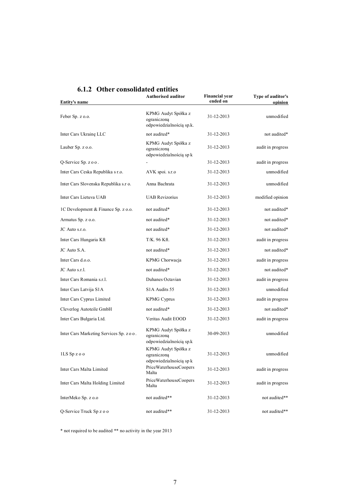| Entity's name                            | <b>Authorised auditor</b>                                      | <b>Financial year</b><br>ended on | Type of auditor's<br>oninion |
|------------------------------------------|----------------------------------------------------------------|-----------------------------------|------------------------------|
| Feber Sp. z o.o.                         | KPMG Audyt Spółka z<br>ograniczoną<br>odpowiedzialnością sp.k. | 31-12-2013                        | unmodified                   |
| Inter Cars Ukrainę LLC                   | not audited*                                                   | 31-12-2013                        | not audited*                 |
| Lauber Sp. z o.o.                        | KPMG Audyt Spółka z<br>ograniczoną<br>odpowiedzialnością sp k  | 31-12-2013                        | audit in progress            |
| Q-Service Sp. z o o.                     |                                                                | 31-12-2013                        | audit in progress            |
| Inter Cars Ceska Republika s r.o.        | AVK spoi. s.r.o                                                | 31-12-2013                        | unmodified                   |
| Inter Cars Slovenska Republika s.r o.    | Anna Bachrata                                                  | 31-12-2013                        | unmodified                   |
| Inter Cars Lietuva UAB                   | <b>UAB Revizorius</b>                                          | 31-12-2013                        | modified opinion             |
| 1C Development & Finance Sp. z o.o.      | not audited*                                                   | 31-12-2013                        | not audited*                 |
| Armatus Sp. z o.o.                       | not audited*                                                   | 31-12-2013                        | not audited*                 |
| JC Auto s.r.o.                           | not audited*                                                   | 31-12-2013                        | not audited*                 |
| Inter Cars Hungaria Kft                  | T/K. 96 Kft.                                                   | 31-12-2013                        | audit in progress            |
| JC Auto S.A.                             | not audited*                                                   | 31-12-2013                        | not audited*                 |
| Inter Cars d.o.o.                        | KPMG Chorwacja                                                 | 31-12-2013                        | audit in progress            |
| JC Auto s.r.l.                           | not audited*                                                   | 31-12-2013                        | not audited*                 |
| Inter Cars Romania s.r.l.                | Duhanes Octavian                                               | 31-12-2013                        | audit in progress            |
| Inter Cars Latvija S1A                   | S <sub>1</sub> A Audits 55                                     | 31-12-2013                        | unmodified                   |
| Inter Cars Cyprus Limited                | <b>KPMG Cyprus</b>                                             | 31-12-2013                        | audit in progress            |
| Cleverlog Autoteile GmbH                 | not audited*                                                   | 31-12-2013                        | not audited*                 |
| Inter Cars Bułgaria Ltd.                 | Veritas Audit EOOD                                             | 31-12-2013                        | audit in progress            |
| Inter Cars Marketing Services Sp. z o o. | KPMG Audyt Spółka z<br>ograniczoną<br>odpowiedzialnością sp.k  | 30-09-2013                        | unmodified                   |
| $1LS$ Sp $z$ o o                         | KPMG Audyt Spółka z<br>ograniczoną<br>odpowiedzialnością sp k  | 31-12-2013                        | unmodified                   |
| Inter Cars Malta Limited                 | PriceWaterhouseCoopers<br>Malta                                | 31-12-2013                        | audit in progress            |
| Inter Cars Malta Holding Limited         | PriceWaterhouseCoopers<br>Malta                                | 31-12-2013                        | audit in progress            |
| InterMeko Sp. z o.o                      | not audited**                                                  | 31-12-2013                        | not audited**                |
| Q-Service Truck Sp z o o                 | not audited**                                                  | 31-12-2013                        | not audited**                |

# **6.1.2 Other consolidated entities**

\* not required to be audited \*\* no activity in the year 2013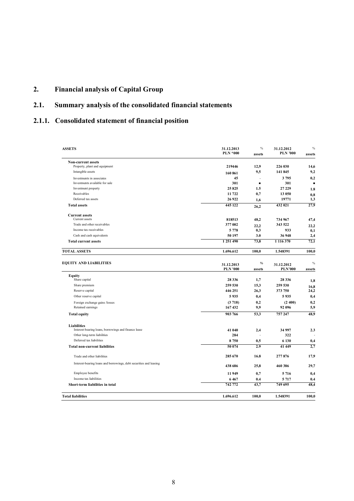# **2. Financial analysis of Capital Group**

# **2.1. Summary analysis of the consolidated financial statements**

# **2.1.1. Consolidated statement of financial position**

| <b>ASSETS</b>                                                      | 31.12.2013<br><b>PLN *000</b> | $\%$<br>assets | 31.12.2012<br><b>PLN '000</b> | $\%$<br>assets |
|--------------------------------------------------------------------|-------------------------------|----------------|-------------------------------|----------------|
| <b>Non-current assets</b>                                          |                               |                |                               |                |
| Property, plant and equipment<br>Intangible assets                 | 219446                        | 12,9           | 226 030<br>141 845            | 14,6<br>9,2    |
|                                                                    | 160 861                       | 9,5            |                               |                |
| Investments in associates<br>Investments available for sale        | 45<br>301                     | ÷,<br>٠        | 3 7 9 5<br>301                | 0,2<br>٠       |
| Investment property                                                | 25825                         | 1.5            | 27 229                        |                |
| Receivables                                                        | 11 722                        | 0,7            | 13 050                        | 1.8            |
| Deferred tax assets                                                | 26 9 22                       | 1,6            | 19771                         | 0,8<br>1,3     |
| <b>Total assets</b>                                                | 445 122                       | 26,2           | 432 021                       | 27,9           |
| <b>Current assets</b>                                              |                               |                |                               |                |
| Current assets                                                     | 818513                        | 48,2           | 734 967                       | 47,4           |
| Trade and other receivables                                        | 377 002                       | 22,2           | 343 522                       | 22,2           |
| Income tax receivables                                             | 5 7 7 8                       | 0,3            | 933                           | 0,1            |
| Cash and cash equivalents                                          | 50 197                        | 3.0            | 36 948                        | 2,4            |
| <b>Total current assets</b>                                        | 1 251 490                     | 73.8           | 1 116 370                     | 72,1           |
| <b>TOTAL ASSETS</b>                                                | 1.696.612                     | 100,0          | 1.548391                      | 100,0          |
|                                                                    |                               |                |                               |                |
| <b>EQUITY AND LIABILITIES</b>                                      | 31.12.2013<br><b>PLN '000</b> | $\%$<br>assets | 31.12.2012<br><b>PLN'000</b>  | $\%$<br>assets |
| <b>Equity</b>                                                      |                               |                |                               |                |
| Share capital                                                      | 28 3 3 6                      | 1,7            | 28 3 3 6                      | 1,8            |
| Share premium                                                      | 259 530                       | 15,3           | 259 530                       | 16,8           |
| Reserve capital                                                    | 446 251                       | 26,3           | 373 750                       | 24,2           |
| Other reserve capital                                              | 5935                          | 0,4            | 5 9 35                        | 0,4            |
| Foreign exchange gains /losses                                     | (3718)                        | 0,2            | (2, 400)                      | 0,2            |
| Retained earnings                                                  | 167432                        | 9,9            | 92 096                        | 5,9            |
| <b>Total equity</b>                                                | 903 766                       | 53,3           | 757 247                       | 48.9           |
| <b>Liabilities</b>                                                 |                               |                |                               |                |
| Interest-bearing loans, borrowings and finance lease               | 41 040                        | 2,4            | 34 997                        | 2.3            |
| Other long-term liabilities                                        | 284                           |                | 322                           |                |
| Deferred tax liabilities                                           | 8750                          | 0,5            | 6 130                         | 0,4            |
| <b>Total non-current liabilities</b>                               | 50 074                        | 2.9            | 41 449                        | 2,7            |
| Trade and other liabilities                                        | 285 670                       | 16.8           | 277876                        | 17,9           |
| Interest-bearing loans and borrowings, debt securities and leasing | 438 686                       | 25.8           | 460 386                       | 29,7           |
| Employee benefits                                                  | 11949                         | 0,7            | 5 7 1 6                       | 0,4            |
| Income tax liabilities                                             | 6467                          | 0.4            | 5 7 1 7                       | 0.4            |
| Short-term liabilities in total                                    | 742 772                       | 43,7           | 749 695                       | 48,4           |
| <b>Total liabilities</b>                                           | 1.696.612                     | 100,0          | 1.548391                      | 100,0          |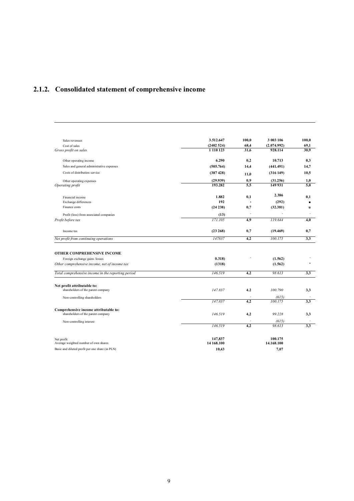# **2.1.2. Consolidated statement of comprehensive income**

| Sales revenues                                     | 3.512.647  | 100,0     | 3 003 106   | 100,0          |
|----------------------------------------------------|------------|-----------|-------------|----------------|
| Cost of sales                                      | (2402524)  | 68,4      | (2.074.992) | 69,1           |
| Gross profit on sales                              | 1 110 123  | 31,6      | 928.114     | 30,9           |
| Other operating income                             | 6.290      | 0,2       | 10.713      | 0,3            |
| Sales and general administrative expenses          | (505.764)  | 14,4      | (441.491)   | 14,7           |
| Costs of distribution service                      | (387 428)  | 11.0      | (316149)    | 10,5           |
| Other operating expenses                           | (29.939)   | 0,9       | (31.256)    | 1,0            |
| Operating profit                                   | 193.282    | 5.5       | 149 931     | 5,0            |
| Financial income                                   | 1.882      | 0,1       | 2.386       | 0,1            |
| Exchange differences                               | 192        | $\bullet$ | (292)       | $\blacksquare$ |
| Finance costs                                      | (24 238)   | 0,7       | (32.381)    | u              |
| Profit (loss) from associated companies            | (13)       | ÷.        |             | $\sim$         |
| Profit before tax                                  | 171.105    | 4,9       | 119.644     | 4,0            |
| Income tax                                         | (23 268)   | 0,7       | (19.469)    | 0,7            |
| Net profit from continuing operations              | 147837     | 4,2       | 100.175     | 3,3            |
|                                                    |            |           |             |                |
| <b>OTHER COMPREHENSIVE INCOME</b>                  | 0.318      |           | (1.562)     |                |
| Foreign exchange gains /losses                     | (1318)     |           | (1.562)     | *              |
| Other comprehensive income, net of income tax      |            |           |             |                |
| Total comprehensive income in the reporting period | 146.519    | 4,2       | 98 613      | 3,3            |
| Net profit attributable to:                        |            |           |             |                |
| shareholders of the parent company                 | 147.837    | 4.2       | 100.790     | 3,3            |
| Non-controlling shareholders                       |            |           | (615)       |                |
|                                                    | 147.837    | 4,2       | 100.175     | 3,3            |
| Comprehensive income attributable to:              |            |           |             |                |
| shareholders of the parent company                 | 146.519    | 4,2       | 99.228      | 3,3            |
| Non-controlling interest                           |            |           | (615)       |                |
|                                                    | 146.519    | 4,2       | 98.613      | 3,3            |
| Net profit                                         | 147,837    |           | 100.175     |                |
| Average weighted number of own shares              | 14 168.100 |           | 14.168.100  |                |
| Basic and diluted profit per one share (in PLN)    | 10,43      |           | 7,07        |                |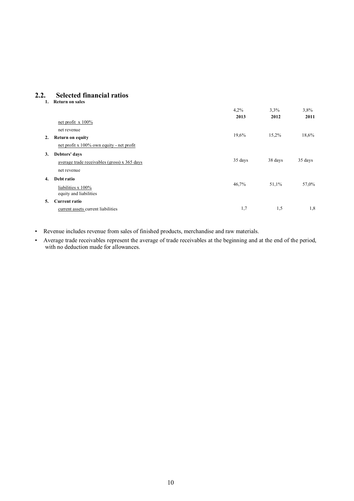# **2.2. Selected financial ratios**

|    | <b>Return on sales</b>                       |         |         |         |
|----|----------------------------------------------|---------|---------|---------|
|    |                                              | 4,2%    | 3,3%    | 3,8%    |
|    |                                              | 2013    | 2012    | 2011    |
|    | net profit $x 100\%$                         |         |         |         |
|    | net revenue                                  |         |         |         |
| 2. | <b>Return on equity</b>                      | 19,6%   | 15,2%   | 18,6%   |
|    | net profit x 100% own equity - net profit    |         |         |         |
| 3. | Debtors' days                                |         |         |         |
|    | average trade receivables (gross) x 365 days | 35 days | 38 days | 35 days |
|    | net revenue                                  |         |         |         |
| 4. | Debt ratio                                   |         |         |         |
|    | liabilities x 100%                           | 46,7%   | 51,1%   | 57,0%   |
|    | equity and liabilities                       |         |         |         |
| 5. | <b>Current ratio</b>                         |         |         |         |
|    | current assets current liabilities           | 1,7     | 1,5     | 1,8     |

- Revenue includes revenue from sales of finished products, merchandise and raw materials.
- Average trade receivables represent the average of trade receivables at the beginning and at the end of the period, with no deduction made for allowances.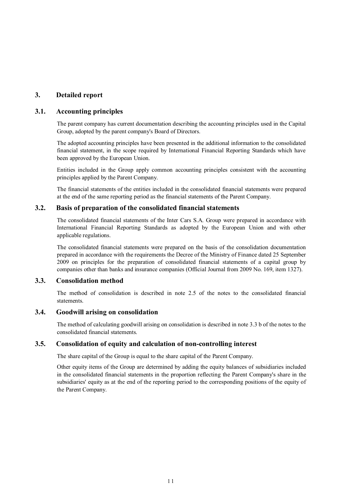# **3. Detailed report**

#### **3.1. Accounting principles**

The parent company has current documentation describing the accounting principles used in the Capital Group, adopted by the parent company's Board of Directors.

The adopted accounting principles have been presented in the additional information to the consolidated financial statement, in the scope required by International Financial Reporting Standards which have been approved by the European Union.

Entities included in the Group apply common accounting principles consistent with the accounting principles applied by the Parent Company.

The financial statements of the entities included in the consolidated financial statements were prepared at the end of the same reporting period as the financial statements of the Parent Company.

#### **3.2. Basis of preparation of the consolidated financial statements**

The consolidated financial statements of the Inter Cars S.A. Group were prepared in accordance with International Financial Reporting Standards as adopted by the European Union and with other applicable regulations.

The consolidated financial statements were prepared on the basis of the consolidation documentation prepared in accordance with the requirements the Decree of the Ministry of Finance dated 25 September 2009 on principles for the preparation of consolidated financial statements of a capital group by companies other than banks and insurance companies (Official Journal from 2009 No. 169, item 1327).

# **3.3. Consolidation method**

The method of consolidation is described in note 2.5 of the notes to the consolidated financial statements.

#### **3.4. Goodwill arising on consolidation**

The method of calculating goodwill arising on consolidation is described in note 3.3 b of the notes to the consolidated financial statements.

## **3.5. Consolidation of equity and calculation of non-controlling interest**

The share capital of the Group is equal to the share capital of the Parent Company.

Other equity items of the Group are determined by adding the equity balances of subsidiaries included in the consolidated financial statements in the proportion reflecting the Parent Company's share in the subsidiaries' equity as at the end of the reporting period to the corresponding positions of the equity of the Parent Company.